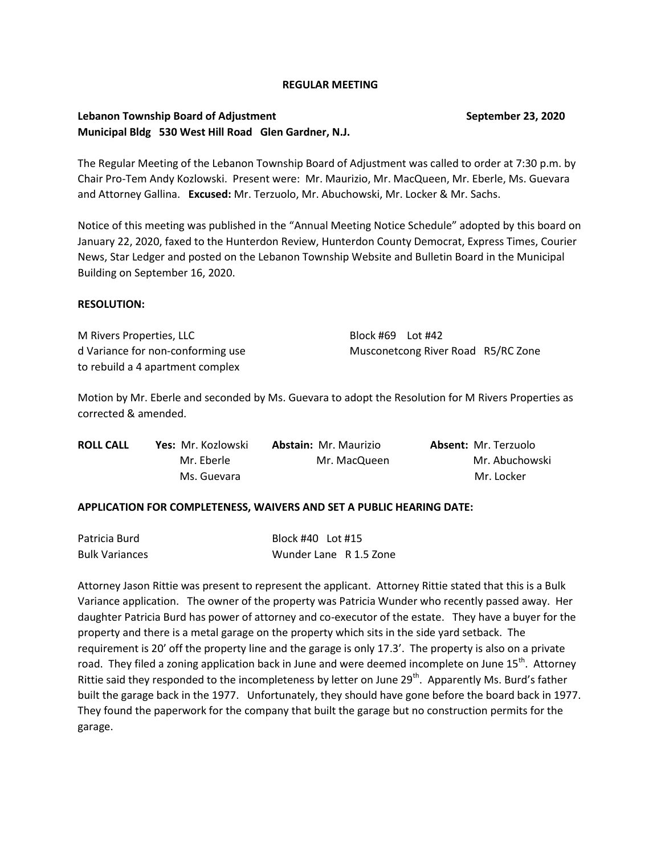#### **REGULAR MEETING**

# **Lebanon Township Board of Adjustment September 23, 2020 Municipal Bldg 530 West Hill Road Glen Gardner, N.J.**

The Regular Meeting of the Lebanon Township Board of Adjustment was called to order at 7:30 p.m. by Chair Pro-Tem Andy Kozlowski. Present were: Mr. Maurizio, Mr. MacQueen, Mr. Eberle, Ms. Guevara and Attorney Gallina. **Excused:** Mr. Terzuolo, Mr. Abuchowski, Mr. Locker & Mr. Sachs.

Notice of this meeting was published in the "Annual Meeting Notice Schedule" adopted by this board on January 22, 2020, faxed to the Hunterdon Review, Hunterdon County Democrat, Express Times, Courier News, Star Ledger and posted on the Lebanon Township Website and Bulletin Board in the Municipal Building on September 16, 2020.

## **RESOLUTION:**

M Rivers Properties, LLC Block #69 Lot #42 to rebuild a 4 apartment complex

d Variance for non-conforming use Musconetcong River Road R5/RC Zone

Motion by Mr. Eberle and seconded by Ms. Guevara to adopt the Resolution for M Rivers Properties as corrected & amended.

| <b>ROLL CALL</b> | Yes: Mr. Kozlowski | <b>Abstain: Mr. Maurizio</b> | <b>Absent: Mr. Terzuolo</b> |
|------------------|--------------------|------------------------------|-----------------------------|
|                  | Mr. Eberle         | Mr. MacQueen                 | Mr. Abuchowski              |
|                  | Ms. Guevara        |                              | Mr. Locker                  |

## **APPLICATION FOR COMPLETENESS, WAIVERS AND SET A PUBLIC HEARING DATE:**

| Patricia Burd         | Block #40    Lot #15   |  |
|-----------------------|------------------------|--|
| <b>Bulk Variances</b> | Wunder Lane R 1.5 Zone |  |

Attorney Jason Rittie was present to represent the applicant. Attorney Rittie stated that this is a Bulk Variance application. The owner of the property was Patricia Wunder who recently passed away. Her daughter Patricia Burd has power of attorney and co-executor of the estate. They have a buyer for the property and there is a metal garage on the property which sits in the side yard setback. The requirement is 20' off the property line and the garage is only 17.3'. The property is also on a private road. They filed a zoning application back in June and were deemed incomplete on June 15<sup>th</sup>. Attorney Rittie said they responded to the incompleteness by letter on June 29<sup>th</sup>. Apparently Ms. Burd's father built the garage back in the 1977. Unfortunately, they should have gone before the board back in 1977. They found the paperwork for the company that built the garage but no construction permits for the garage.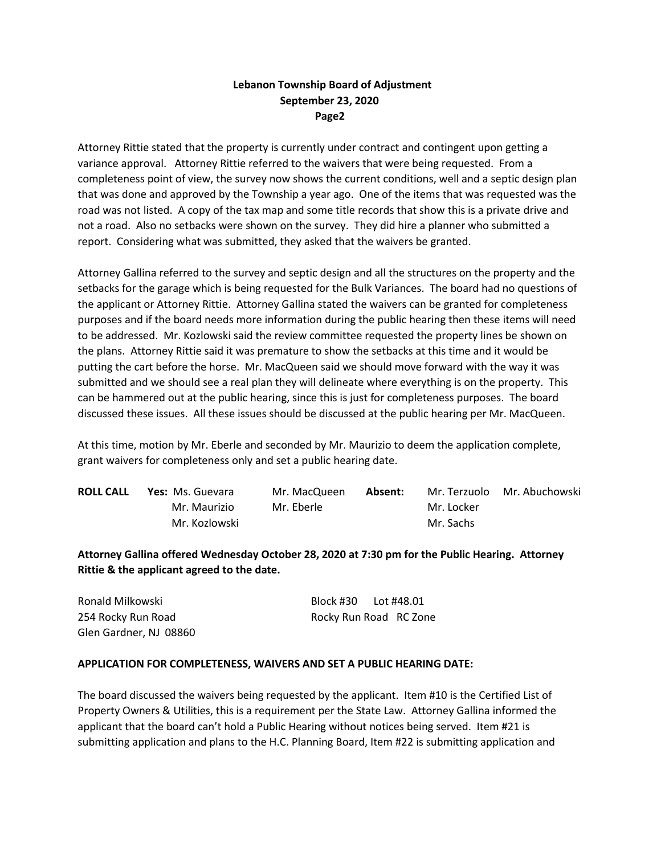# **Lebanon Township Board of Adjustment September 23, 2020 Page2**

Attorney Rittie stated that the property is currently under contract and contingent upon getting a variance approval. Attorney Rittie referred to the waivers that were being requested. From a completeness point of view, the survey now shows the current conditions, well and a septic design plan that was done and approved by the Township a year ago. One of the items that was requested was the road was not listed. A copy of the tax map and some title records that show this is a private drive and not a road. Also no setbacks were shown on the survey. They did hire a planner who submitted a report. Considering what was submitted, they asked that the waivers be granted.

Attorney Gallina referred to the survey and septic design and all the structures on the property and the setbacks for the garage which is being requested for the Bulk Variances. The board had no questions of the applicant or Attorney Rittie. Attorney Gallina stated the waivers can be granted for completeness purposes and if the board needs more information during the public hearing then these items will need to be addressed. Mr. Kozlowski said the review committee requested the property lines be shown on the plans. Attorney Rittie said it was premature to show the setbacks at this time and it would be putting the cart before the horse. Mr. MacQueen said we should move forward with the way it was submitted and we should see a real plan they will delineate where everything is on the property. This can be hammered out at the public hearing, since this is just for completeness purposes. The board discussed these issues. All these issues should be discussed at the public hearing per Mr. MacQueen.

At this time, motion by Mr. Eberle and seconded by Mr. Maurizio to deem the application complete, grant waivers for completeness only and set a public hearing date.

| <b>ROLL CALL</b> | <b>Yes:</b> Ms. Guevara | Mr. MacQueen | Absent: |            | Mr. Terzuolo Mr. Abuchowski |
|------------------|-------------------------|--------------|---------|------------|-----------------------------|
|                  | Mr. Maurizio            | Mr. Eberle   |         | Mr. Locker |                             |
|                  | Mr. Kozlowski           |              |         | Mr. Sachs  |                             |

**Attorney Gallina offered Wednesday October 28, 2020 at 7:30 pm for the Public Hearing. Attorney Rittie & the applicant agreed to the date.**

Ronald Milkowski Block #30 Lot #48.01 254 Rocky Run Road Rocky Run Road RC Zone Glen Gardner, NJ 08860

## **APPLICATION FOR COMPLETENESS, WAIVERS AND SET A PUBLIC HEARING DATE:**

The board discussed the waivers being requested by the applicant. Item #10 is the Certified List of Property Owners & Utilities, this is a requirement per the State Law. Attorney Gallina informed the applicant that the board can't hold a Public Hearing without notices being served. Item #21 is submitting application and plans to the H.C. Planning Board, Item #22 is submitting application and